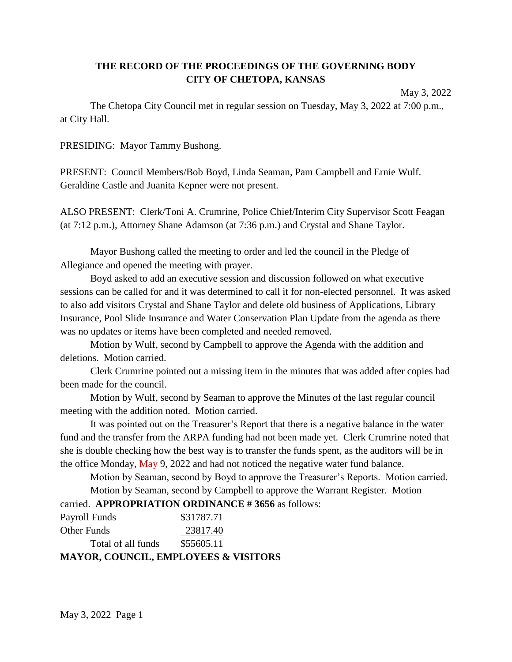# **THE RECORD OF THE PROCEEDINGS OF THE GOVERNING BODY CITY OF CHETOPA, KANSAS**

May 3, 2022

The Chetopa City Council met in regular session on Tuesday, May 3, 2022 at 7:00 p.m., at City Hall.

PRESIDING: Mayor Tammy Bushong.

PRESENT: Council Members/Bob Boyd, Linda Seaman, Pam Campbell and Ernie Wulf. Geraldine Castle and Juanita Kepner were not present.

ALSO PRESENT: Clerk/Toni A. Crumrine, Police Chief/Interim City Supervisor Scott Feagan (at 7:12 p.m.), Attorney Shane Adamson (at 7:36 p.m.) and Crystal and Shane Taylor.

Mayor Bushong called the meeting to order and led the council in the Pledge of Allegiance and opened the meeting with prayer.

Boyd asked to add an executive session and discussion followed on what executive sessions can be called for and it was determined to call it for non-elected personnel. It was asked to also add visitors Crystal and Shane Taylor and delete old business of Applications, Library Insurance, Pool Slide Insurance and Water Conservation Plan Update from the agenda as there was no updates or items have been completed and needed removed.

Motion by Wulf, second by Campbell to approve the Agenda with the addition and deletions. Motion carried.

Clerk Crumrine pointed out a missing item in the minutes that was added after copies had been made for the council.

Motion by Wulf, second by Seaman to approve the Minutes of the last regular council meeting with the addition noted. Motion carried.

It was pointed out on the Treasurer's Report that there is a negative balance in the water fund and the transfer from the ARPA funding had not been made yet. Clerk Crumrine noted that she is double checking how the best way is to transfer the funds spent, as the auditors will be in the office Monday, May 9, 2022 and had not noticed the negative water fund balance.

Motion by Seaman, second by Boyd to approve the Treasurer's Reports. Motion carried. Motion by Seaman, second by Campbell to approve the Warrant Register. Motion

## carried. **APPROPRIATION ORDINANCE # 3656** as follows:

| Payroll Funds<br><b>Other Funds</b>             | \$31787.71<br>23817.40 |
|-------------------------------------------------|------------------------|
| Total of all funds                              | \$55605.11             |
| <b>MAYOR, COUNCIL, EMPLOYEES &amp; VISITORS</b> |                        |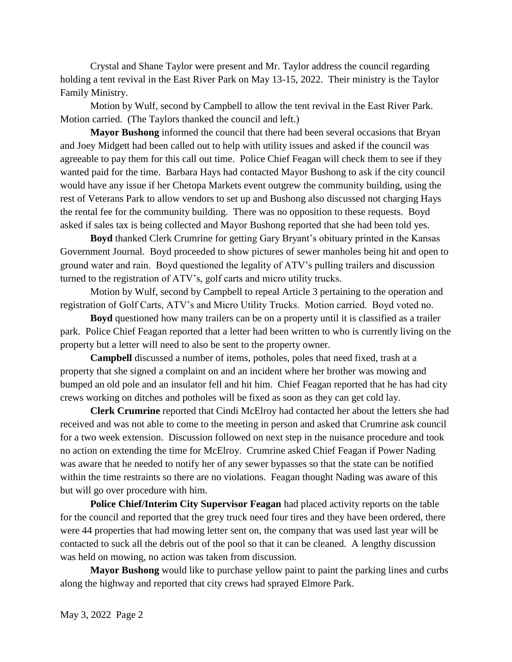Crystal and Shane Taylor were present and Mr. Taylor address the council regarding holding a tent revival in the East River Park on May 13-15, 2022. Their ministry is the Taylor Family Ministry.

Motion by Wulf, second by Campbell to allow the tent revival in the East River Park. Motion carried. (The Taylors thanked the council and left.)

**Mayor Bushong** informed the council that there had been several occasions that Bryan and Joey Midgett had been called out to help with utility issues and asked if the council was agreeable to pay them for this call out time. Police Chief Feagan will check them to see if they wanted paid for the time. Barbara Hays had contacted Mayor Bushong to ask if the city council would have any issue if her Chetopa Markets event outgrew the community building, using the rest of Veterans Park to allow vendors to set up and Bushong also discussed not charging Hays the rental fee for the community building. There was no opposition to these requests. Boyd asked if sales tax is being collected and Mayor Bushong reported that she had been told yes.

**Boyd** thanked Clerk Crumrine for getting Gary Bryant's obituary printed in the Kansas Government Journal. Boyd proceeded to show pictures of sewer manholes being hit and open to ground water and rain. Boyd questioned the legality of ATV's pulling trailers and discussion turned to the registration of ATV's, golf carts and micro utility trucks.

Motion by Wulf, second by Campbell to repeal Article 3 pertaining to the operation and registration of Golf Carts, ATV's and Micro Utility Trucks. Motion carried. Boyd voted no.

**Boyd** questioned how many trailers can be on a property until it is classified as a trailer park. Police Chief Feagan reported that a letter had been written to who is currently living on the property but a letter will need to also be sent to the property owner.

**Campbell** discussed a number of items, potholes, poles that need fixed, trash at a property that she signed a complaint on and an incident where her brother was mowing and bumped an old pole and an insulator fell and hit him. Chief Feagan reported that he has had city crews working on ditches and potholes will be fixed as soon as they can get cold lay.

**Clerk Crumrine** reported that Cindi McElroy had contacted her about the letters she had received and was not able to come to the meeting in person and asked that Crumrine ask council for a two week extension. Discussion followed on next step in the nuisance procedure and took no action on extending the time for McElroy. Crumrine asked Chief Feagan if Power Nading was aware that he needed to notify her of any sewer bypasses so that the state can be notified within the time restraints so there are no violations. Feagan thought Nading was aware of this but will go over procedure with him.

**Police Chief/Interim City Supervisor Feagan** had placed activity reports on the table for the council and reported that the grey truck need four tires and they have been ordered, there were 44 properties that had mowing letter sent on, the company that was used last year will be contacted to suck all the debris out of the pool so that it can be cleaned. A lengthy discussion was held on mowing, no action was taken from discussion.

**Mayor Bushong** would like to purchase yellow paint to paint the parking lines and curbs along the highway and reported that city crews had sprayed Elmore Park.